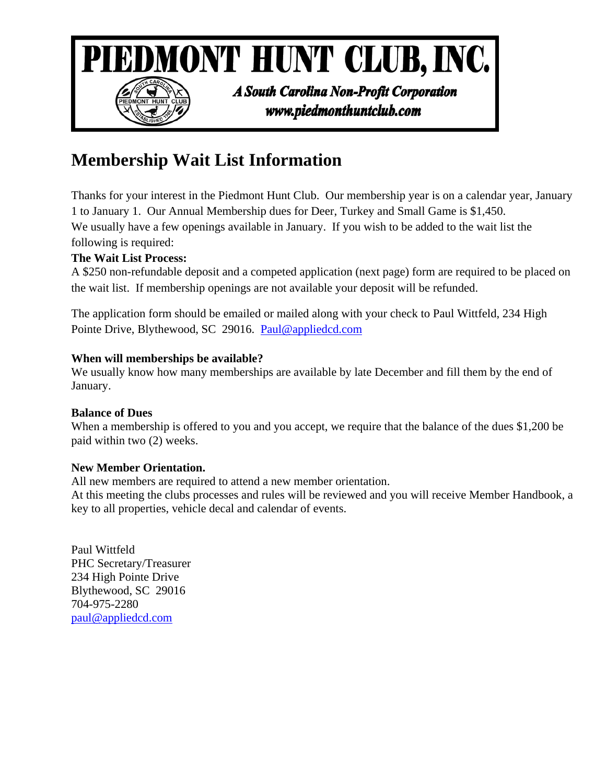

## **Membership Wait List Information**

Thanks for your interest in the Piedmont Hunt Club. Our membership year is on a calendar year, January 1 to January 1. Our Annual Membership dues for Deer, Turkey and Small Game is \$1,450. We usually have a few openings available in January. If you wish to be added to the wait list the following is required:

### **The Wait List Process:**

A \$250 non-refundable deposit and a competed application (next page) form are required to be placed on the wait list. If membership openings are not available your deposit will be refunded.

The application form should be emailed or mailed along with your check to Paul Wittfeld, 234 High Pointe Drive, Blythewood, SC 29016. Paul@appliedcd.com

#### **When will memberships be available?**

We usually know how many memberships are available by late December and fill them by the end of January.

#### **Balance of Dues**

When a membership is offered to you and you accept, we require that the balance of the dues \$1,200 be paid within two (2) weeks.

#### **New Member Orientation.**

All new members are required to attend a new member orientation.

At this meeting the clubs processes and rules will be reviewed and you will receive Member Handbook, a key to all properties, vehicle decal and calendar of events.

Paul Wittfeld PHC Secretary/Treasurer 234 High Pointe Drive Blythewood, SC 29016 704-975-2280 paul@appliedcd.com